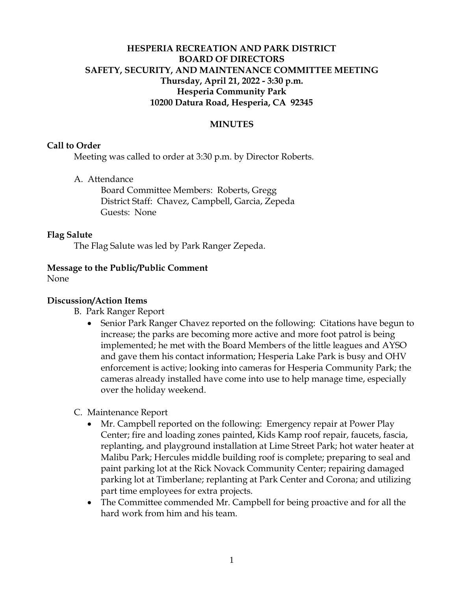# **HESPERIA RECREATION AND PARK DISTRICT BOARD OF DIRECTORS SAFETY, SECURITY, AND MAINTENANCE COMMITTEE MEETING Thursday, April 21, 2022 - 3:30 p.m. Hesperia Community Park 10200 Datura Road, Hesperia, CA 92345**

## **MINUTES**

#### **Call to Order**

Meeting was called to order at 3:30 p.m. by Director Roberts.

A. Attendance

Board Committee Members: Roberts, Gregg District Staff: Chavez, Campbell, Garcia, Zepeda Guests: None

#### **Flag Salute**

The Flag Salute was led by Park Ranger Zepeda.

#### **Message to the Public/Public Comment**

None

### **Discussion/Action Items**

- B. Park Ranger Report
	- Senior Park Ranger Chavez reported on the following: Citations have begun to increase; the parks are becoming more active and more foot patrol is being implemented; he met with the Board Members of the little leagues and AYSO and gave them his contact information; Hesperia Lake Park is busy and OHV enforcement is active; looking into cameras for Hesperia Community Park; the cameras already installed have come into use to help manage time, especially over the holiday weekend.
- C. Maintenance Report
	- Mr. Campbell reported on the following: Emergency repair at Power Play Center; fire and loading zones painted, Kids Kamp roof repair, faucets, fascia, replanting, and playground installation at Lime Street Park; hot water heater at Malibu Park; Hercules middle building roof is complete; preparing to seal and paint parking lot at the Rick Novack Community Center; repairing damaged parking lot at Timberlane; replanting at Park Center and Corona; and utilizing part time employees for extra projects.
	- The Committee commended Mr. Campbell for being proactive and for all the hard work from him and his team.